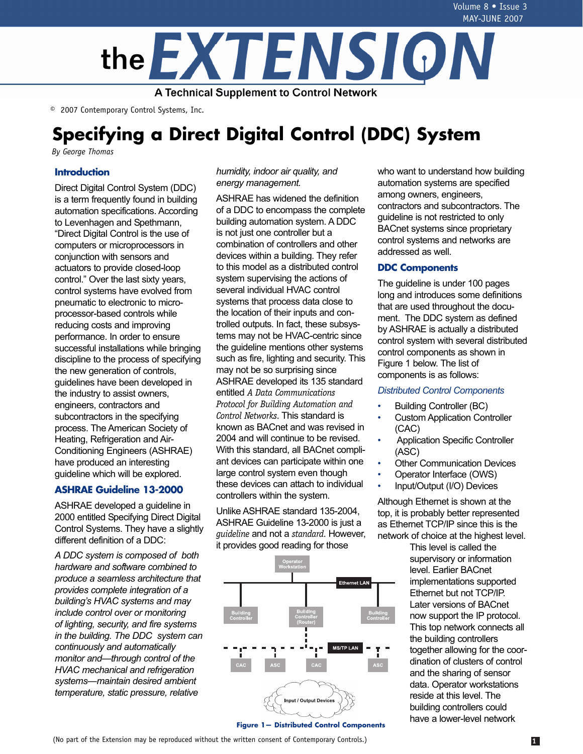

© 2007 Contemporary Control Systems, Inc.

# **Specifying a Direct Digital Control (DDC) System**

*By George Thomas*

# **Introduction**

Direct Digital Control System (DDC) is a term frequently found in building automation specifications. According to Levenhagen and Spethmann, "Direct Digital Control is the use of computers or microprocessors in conjunction with sensors and actuators to provide closed-loop control." Over the last sixty years, control systems have evolved from pneumatic to electronic to microprocessor-based controls while reducing costs and improving performance. In order to ensure successful installations while bringing discipline to the process of specifying the new generation of controls, guidelines have been developed in the industry to assist owners, engineers, contractors and subcontractors in the specifying process. The American Society of Heating, Refrigeration and Air-Conditioning Engineers (ASHRAE) have produced an interesting guideline which will be explored.

# **ASHRAE Guideline 13-2000**

ASHRAE developed a guideline in 2000 entitled Specifying Direct Digital Control Systems. They have a slightly different definition of a DDC:

*A DDC system is composed of both hardware and software combined to produce a seamless architecture that provides complete integration of a building's HVAC systems and may include control over or monitoring of lighting, security, and fire systems in the building. The DDC system can continuously and automatically monitor and—through control of the HVAC mechanical and refrigeration systems—maintain desired ambient temperature, static pressure, relative* 

*humidity, indoor air quality, and energy management.*

ASHRAE has widened the definition of a DDC to encompass the complete building automation system. A DDC is not just one controller but a combination of controllers and other devices within a building. They refer to this model as a distributed control system supervising the actions of several individual HVAC control systems that process data close to the location of their inputs and controlled outputs. In fact, these subsystems may not be HVAC-centric since the guideline mentions other systems such as fire, lighting and security. This may not be so surprising since ASHRAE developed its 135 standard entitled *A Data Communications Protocol for Building Automation and Control Networks*. This standard is known as BACnet and was revised in 2004 and will continue to be revised. With this standard, all BACnet compliant devices can participate within one large control system even though these devices can attach to individual controllers within the system.

Unlike ASHRAE standard 135-2004, ASHRAE Guideline 13-2000 is just a *guideline* and not a *standard*. However, it provides good reading for those



who want to understand how building automation systems are specified among owners, engineers, contractors and subcontractors. The guideline is not restricted to only BACnet systems since proprietary control systems and networks are addressed as well.

### **DDC Components**

The guideline is under 100 pages long and introduces some definitions that are used throughout the document. The DDC system as defined by ASHRAE is actually a distributed control system with several distributed control components as shown in Figure 1 below. The list of components is as follows:

#### *Distributed Control Components*

- Building Controller (BC)
- Custom Application Controller (CAC)
- Application Specific Controller (ASC)
- **Other Communication Devices**
- Operator Interface (OWS)
- Input/Output (I/O) Devices

Although Ethernet is shown at the top, it is probably better represented as Ethernet TCP/IP since this is the network of choice at the highest level.

This level is called the supervisory or information level. Earlier BACnet implementations supported Ethernet but not TCP/IP. Later versions of BACnet now support the IP protocol. This top network connects all the building controllers together allowing for the coordination of clusters of control and the sharing of sensor data. Operator workstations reside at this level. The building controllers could have a lower-level network

(No part of the Extension may be reproduced without the written consent of Contemporary Controls.) **1**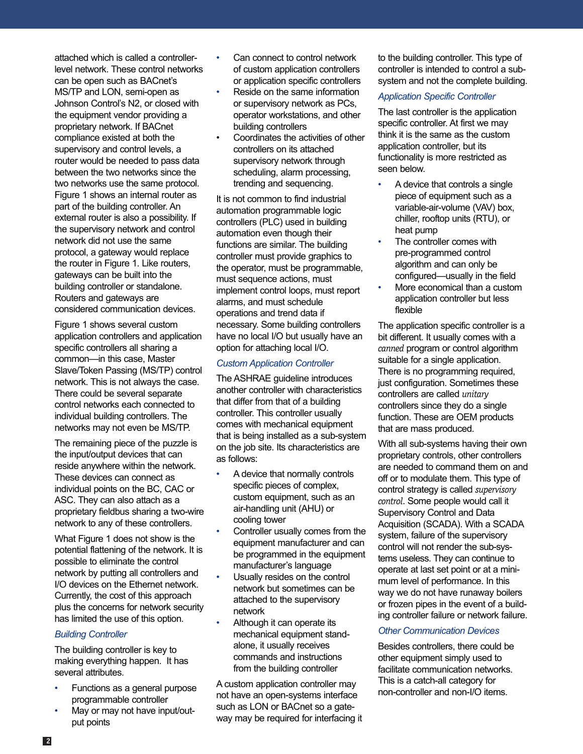attached which is called a controllerlevel network. These control networks can be open such as BACnet's MS/TP and LON, semi-open as Johnson Control's N2, or closed with the equipment vendor providing a proprietary network. If BACnet compliance existed at both the supervisory and control levels, a router would be needed to pass data between the two networks since the two networks use the same protocol. Figure 1 shows an internal router as part of the building controller. An external router is also a possibility. If the supervisory network and control network did not use the same protocol, a gateway would replace the router in Figure 1. Like routers, gateways can be built into the building controller or standalone. Routers and gateways are considered communication devices.

Figure 1 shows several custom application controllers and application specific controllers all sharing a common—in this case, Master Slave/Token Passing (MS/TP) control network. This is not always the case. There could be several separate control networks each connected to individual building controllers. The networks may not even be MS/TP.

The remaining piece of the puzzle is the input/output devices that can reside anywhere within the network. These devices can connect as individual points on the BC, CAC or ASC. They can also attach as a proprietary fieldbus sharing a two-wire network to any of these controllers.

What Figure 1 does not show is the potential flattening of the network. It is possible to eliminate the control network by putting all controllers and I/O devices on the Ethernet network. Currently, the cost of this approach plus the concerns for network security has limited the use of this option.

#### *Building Controller*

The building controller is key to making everything happen. It has several attributes.

- Functions as a general purpose programmable controller
- May or may not have input/output points
- Can connect to control network of custom application controllers or application specific controllers
- Reside on the same information or supervisory network as PCs, operator workstations, and other building controllers
- Coordinates the activities of other controllers on its attached supervisory network through scheduling, alarm processing, trending and sequencing.

It is not common to find industrial automation programmable logic controllers (PLC) used in building automation even though their functions are similar. The building controller must provide graphics to the operator, must be programmable, must sequence actions, must implement control loops, must report alarms, and must schedule operations and trend data if necessary. Some building controllers have no local I/O but usually have an option for attaching local I/O.

### *Custom Application Controller*

The ASHRAE guideline introduces another controller with characteristics that differ from that of a building controller. This controller usually comes with mechanical equipment that is being installed as a sub-system on the job site. Its characteristics are as follows:

- A device that normally controls specific pieces of complex, custom equipment, such as an air-handling unit (AHU) or cooling tower
- Controller usually comes from the equipment manufacturer and can be programmed in the equipment manufacturer's language
- Usually resides on the control network but sometimes can be attached to the supervisory network
- Although it can operate its mechanical equipment standalone, it usually receives commands and instructions from the building controller

A custom application controller may not have an open-systems interface such as LON or BACnet so a gateway may be required for interfacing it to the building controller. This type of controller is intended to control a subsystem and not the complete building.

#### *Application Specific Controller*

The last controller is the application specific controller. At first we may think it is the same as the custom application controller, but its functionality is more restricted as seen below.

- A device that controls a single piece of equipment such as a variable-air-volume (VAV) box, chiller, rooftop units (RTU), or heat pump
- The controller comes with pre-programmed control algorithm and can only be configured—usually in the field
- More economical than a custom application controller but less flexible

The application specific controller is a bit different. It usually comes with a *canned* program or control algorithm suitable for a single application. There is no programming required, just configuration. Sometimes these controllers are called *unitary* controllers since they do a single function. These are OEM products that are mass produced.

With all sub-systems having their own proprietary controls, other controllers are needed to command them on and off or to modulate them. This type of control strategy is called *supervisory control*. Some people would call it Supervisory Control and Data Acquisition (SCADA). With a SCADA system, failure of the supervisory control will not render the sub-systems useless. They can continue to operate at last set point or at a minimum level of performance. In this way we do not have runaway boilers or frozen pipes in the event of a building controller failure or network failure.

#### *Other Communication Devices*

Besides controllers, there could be other equipment simply used to facilitate communication networks. This is a catch-all category for non-controller and non-I/O items.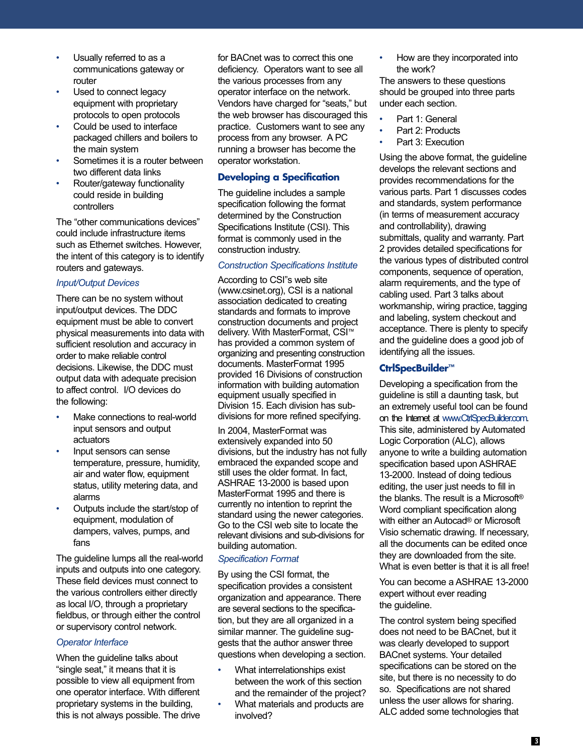- Usually referred to as a communications gateway or router
- Used to connect legacy equipment with proprietary protocols to open protocols
- Could be used to interface packaged chillers and boilers to the main system
- Sometimes it is a router between two different data links
- Router/gateway functionality could reside in building controllers

The "other communications devices" could include infrastructure items such as Ethernet switches. However, the intent of this category is to identify routers and gateways.

### *Input/Output Devices*

There can be no system without input/output devices. The DDC equipment must be able to convert physical measurements into data with sufficient resolution and accuracy in order to make reliable control decisions. Likewise, the DDC must output data with adequate precision to affect control. I/O devices do the following:

- Make connections to real-world input sensors and output actuators
- Input sensors can sense temperature, pressure, humidity, air and water flow, equipment status, utility metering data, and alarms
- Outputs include the start/stop of equipment, modulation of dampers, valves, pumps, and fans

The guideline lumps all the real-world inputs and outputs into one category. These field devices must connect to the various controllers either directly as local I/O, through a proprietary fieldbus, or through either the control or supervisory control network.

# *Operator Interface*

When the guideline talks about "single seat," it means that it is possible to view all equipment from one operator interface. With different proprietary systems in the building, this is not always possible. The drive for BACnet was to correct this one deficiency. Operators want to see all the various processes from any operator interface on the network. Vendors have charged for "seats," but the web browser has discouraged this practice. Customers want to see any process from any browser. A PC running a browser has become the operator workstation.

# **Developing a Specification**

The guideline includes a sample specification following the format determined by the Construction Specifications Institute (CSI). This format is commonly used in the construction industry.

# *Construction Specifications Institute*

According to CSI"s web site (www.csinet.org), CSI is a national association dedicated to creating standards and formats to improve construction documents and project delivery. With MasterFormat, CSI™ has provided a common system of organizing and presenting construction documents. MasterFormat 1995 provided 16 Divisions of construction information with building automation equipment usually specified in Division 15. Each division has subdivisions for more refined specifying.

In 2004, MasterFormat was extensively expanded into 50 divisions, but the industry has not fully embraced the expanded scope and still uses the older format. In fact, ASHRAE 13-2000 is based upon MasterFormat 1995 and there is currently no intention to reprint the standard using the newer categories. Go to the CSI web site to locate the relevant divisions and sub-divisions for building automation.

# *Specification Format*

By using the CSI format, the specification provides a consistent organization and appearance. There are several sections to the specification, but they are all organized in a similar manner. The guideline suggests that the author answer three questions when developing a section.

- What interrelationships exist between the work of this section and the remainder of the project?
- What materials and products are involved?

• How are they incorporated into the work?

The answers to these questions should be grouped into three parts under each section.

- Part 1: General
- Part 2: Products
- Part 3: Execution

Using the above format, the guideline develops the relevant sections and provides recommendations for the various parts. Part 1 discusses codes and standards, system performance (in terms of measurement accuracy and controllability), drawing submittals, quality and warranty. Part 2 provides detailed specifications for the various types of distributed control components, sequence of operation, alarm requirements, and the type of cabling used. Part 3 talks about workmanship, wiring practice, tagging and labeling, system checkout and acceptance. There is plenty to specify and the guideline does a good job of identifying all the issues.

# **CtrlSpecBuilder™**

Developing a specification from the guideline is still a daunting task, but an extremely useful tool can be found on the Internet at www.CtrlSpecBuilder.com. This site, administered by Automated Logic Corporation (ALC), allows anyone to write a building automation specification based upon ASHRAE 13-2000. Instead of doing tedious editing, the user just needs to fill in the blanks. The result is a Microsoft® Word compliant specification along with either an Autocad® or Microsoft Visio schematic drawing. If necessary, all the documents can be edited once they are downloaded from the site. What is even better is that it is all free!

You can become a ASHRAE 13-2000 expert without ever reading the guideline.

The control system being specified does not need to be BACnet, but it was clearly developed to support BACnet systems. Your detailed specifications can be stored on the site, but there is no necessity to do so. Specifications are not shared unless the user allows for sharing. ALC added some technologies that